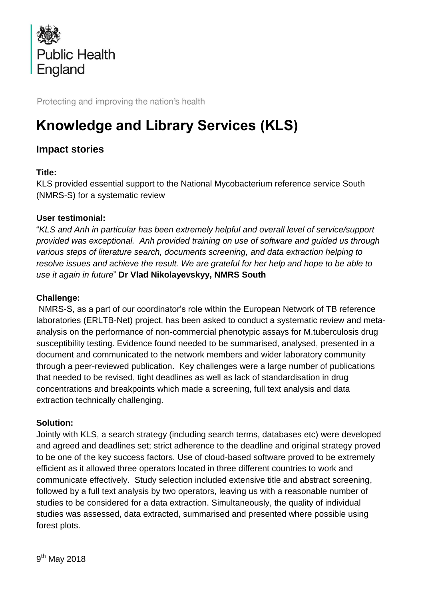

Protecting and improving the nation's health

# **Knowledge and Library Services (KLS)**

## **Impact stories**

### **Title:**

KLS provided essential support to the National Mycobacterium reference service South (NMRS-S) for a systematic review

### **User testimonial:**

"*KLS and Anh in particular has been extremely helpful and overall level of service/support provided was exceptional. Anh provided training on use of software and guided us through various steps of literature search, documents screening, and data extraction helping to*  resolve issues and achieve the result. We are grateful for her help and hope to be able to *use it again in future*" **Dr Vlad Nikolayevskyy, NMRS South**

#### **Challenge:**

NMRS-S, as a part of our coordinator's role within the European Network of TB reference laboratories (ERLTB-Net) project, has been asked to conduct a systematic review and metaanalysis on the performance of non-commercial phenotypic assays for M.tuberculosis drug susceptibility testing. Evidence found needed to be summarised, analysed, presented in a document and communicated to the network members and wider laboratory community through a peer-reviewed publication. Key challenges were a large number of publications that needed to be revised, tight deadlines as well as lack of standardisation in drug concentrations and breakpoints which made a screening, full text analysis and data extraction technically challenging.

#### **Solution:**

Jointly with KLS, a search strategy (including search terms, databases etc) were developed and agreed and deadlines set; strict adherence to the deadline and original strategy proved to be one of the key success factors. Use of cloud-based software proved to be extremely efficient as it allowed three operators located in three different countries to work and communicate effectively. Study selection included extensive title and abstract screening, followed by a full text analysis by two operators, leaving us with a reasonable number of studies to be considered for a data extraction. Simultaneously, the quality of individual studies was assessed, data extracted, summarised and presented where possible using forest plots.